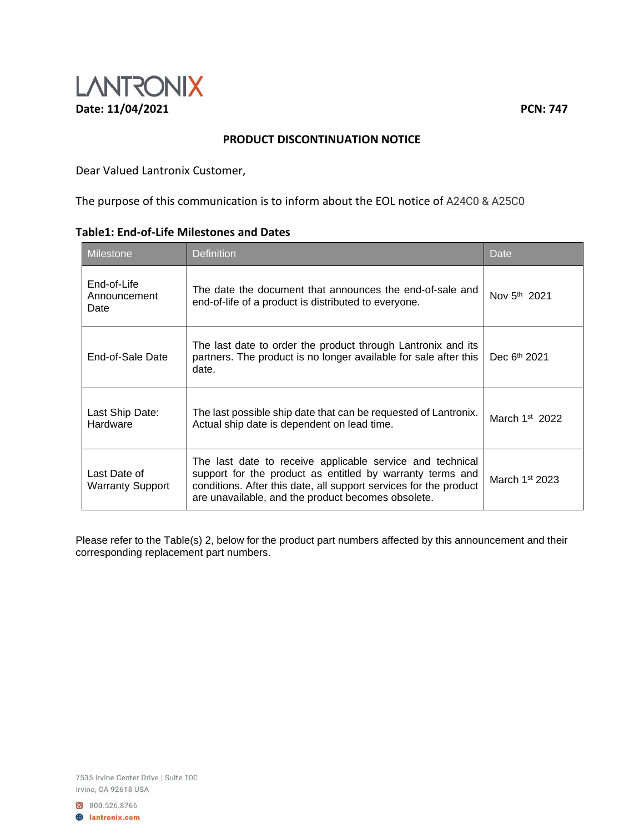

## **PRODUCT DISCONTINUATION NOTICE**

Dear Valued Lantronix Customer,

The purpose of this communication is to inform about the EOL notice of A24C0 & A25C0

| <b>Milestone</b>                        | <b>Definition</b>                                                                                                                                                                                                                                 | Date                     |
|-----------------------------------------|---------------------------------------------------------------------------------------------------------------------------------------------------------------------------------------------------------------------------------------------------|--------------------------|
| End-of-Life<br>Announcement<br>Date     | The date the document that announces the end-of-sale and<br>end-of-life of a product is distributed to everyone.                                                                                                                                  | Nov 5 <sup>th</sup> 2021 |
| End-of-Sale Date                        | The last date to order the product through Lantronix and its<br>partners. The product is no longer available for sale after this<br>date.                                                                                                         | Dec 6 <sup>th</sup> 2021 |
| Last Ship Date:<br>Hardware             | The last possible ship date that can be requested of Lantronix.<br>Actual ship date is dependent on lead time.                                                                                                                                    | March $1st$ 2022         |
| Last Date of<br><b>Warranty Support</b> | The last date to receive applicable service and technical<br>support for the product as entitled by warranty terms and<br>conditions. After this date, all support services for the product<br>are unavailable, and the product becomes obsolete. | March $1st 2023$         |

## **Table1: End-of-Life Milestones and Dates**

Please refer to the Table(s) 2, below for the product part numbers affected by this announcement and their corresponding replacement part numbers.

7535 Irvine Center Drive | Suite 100 Irvine, CA 92618 USA

800.526.8766

**A** lantronix.com